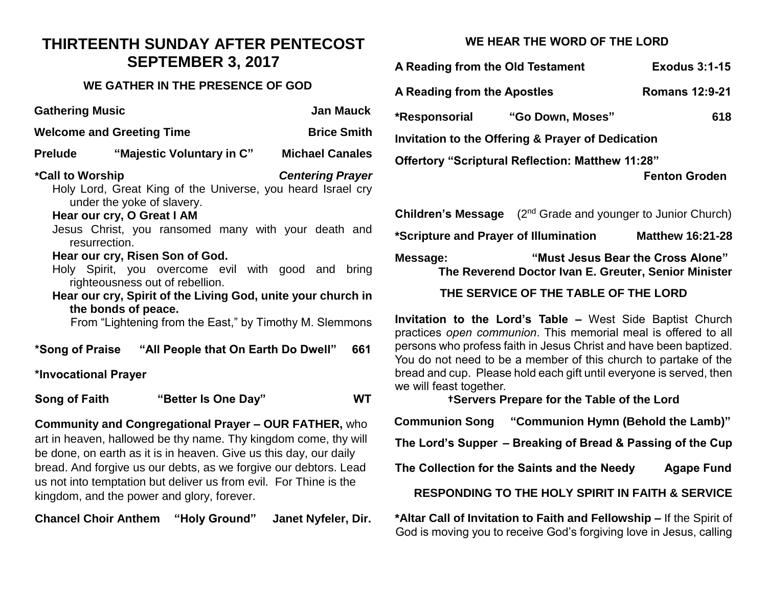### **THIRTEENTH SUNDAY AFTER PENTECOST SEPTEMBER 3, 2017**

#### **WE GATHER IN THE PRESENCE OF GOD**

| <b>Gathering Music</b><br><b>Jan Mauck</b>                                                                                                                             |  |  |  |
|------------------------------------------------------------------------------------------------------------------------------------------------------------------------|--|--|--|
| <b>Brice Smith</b><br><b>Welcome and Greeting Time</b>                                                                                                                 |  |  |  |
| "Majestic Voluntary in C"<br><b>Prelude</b><br><b>Michael Canales</b>                                                                                                  |  |  |  |
| *Call to Worship<br><b>Centering Prayer</b><br>Holy Lord, Great King of the Universe, you heard Israel cry<br>under the yoke of slavery.<br>Hear our cry, O Great I AM |  |  |  |
| Jesus Christ, you ransomed many with your death and<br>resurrection.                                                                                                   |  |  |  |
| Hear our cry, Risen Son of God.<br>Holy Spirit, you overcome evil with good and bring<br>righteousness out of rebellion.                                               |  |  |  |
| Hear our cry, Spirit of the Living God, unite your church in<br>the bonds of peace.<br>From "Lightening from the East," by Timothy M. Slemmons                         |  |  |  |
| 661                                                                                                                                                                    |  |  |  |
| *Invocational Prayer                                                                                                                                                   |  |  |  |
| Song of Faith<br>"Better Is One Day"                                                                                                                                   |  |  |  |

**Community and Congregational Prayer – OUR FATHER,** who art in heaven, hallowed be thy name. Thy kingdom come, thy will be done, on earth as it is in heaven. Give us this day, our daily bread. And forgive us our debts, as we forgive our debtors. Lead us not into temptation but deliver us from evil. For Thine is the kingdom, and the power and glory, forever.

**Chancel Choir Anthem "Holy Ground" Janet Nyfeler, Dir.**

#### **WE HEAR THE WORD OF THE LORD**

| <b>Exodus 3:1-15</b>                                    |  |  |  |
|---------------------------------------------------------|--|--|--|
| <b>Romans 12:9-21</b>                                   |  |  |  |
| 618                                                     |  |  |  |
| Invitation to the Offering & Prayer of Dedication       |  |  |  |
| <b>Offertory "Scriptural Reflection: Matthew 11:28"</b> |  |  |  |
| <b>Fenton Groden</b>                                    |  |  |  |
|                                                         |  |  |  |

| <b>Children's Message</b>             |                                                                                           | (2 <sup>nd</sup> Grade and younger to Junior Church) |
|---------------------------------------|-------------------------------------------------------------------------------------------|------------------------------------------------------|
| *Scripture and Prayer of Illumination |                                                                                           | <b>Matthew 16:21-28</b>                              |
| Message:                              | "Must Jesus Bear the Cross Alone"<br>The Reverend Doctor Ivan E. Greuter, Senior Minister |                                                      |

#### **THE SERVICE OF THE TABLE OF THE LORD**

**Invitation to the Lord's Table –** West Side Baptist Church practices *open communion*. This memorial meal is offered to all persons who profess faith in Jesus Christ and have been baptized. You do not need to be a member of this church to partake of the bread and cup. Please hold each gift until everyone is served, then we will feast together.

#### **†Servers Prepare for the Table of the Lord**

**Communion Song "Communion Hymn (Behold the Lamb)"**

**The Lord's Supper – Breaking of Bread & Passing of the Cup**

**The Collection for the Saints and the Needy Agape Fund**

**RESPONDING TO THE HOLY SPIRIT IN FAITH & SERVICE**

**\*Altar Call of Invitation to Faith and Fellowship –** If the Spirit of God is moving you to receive God's forgiving love in Jesus, calling